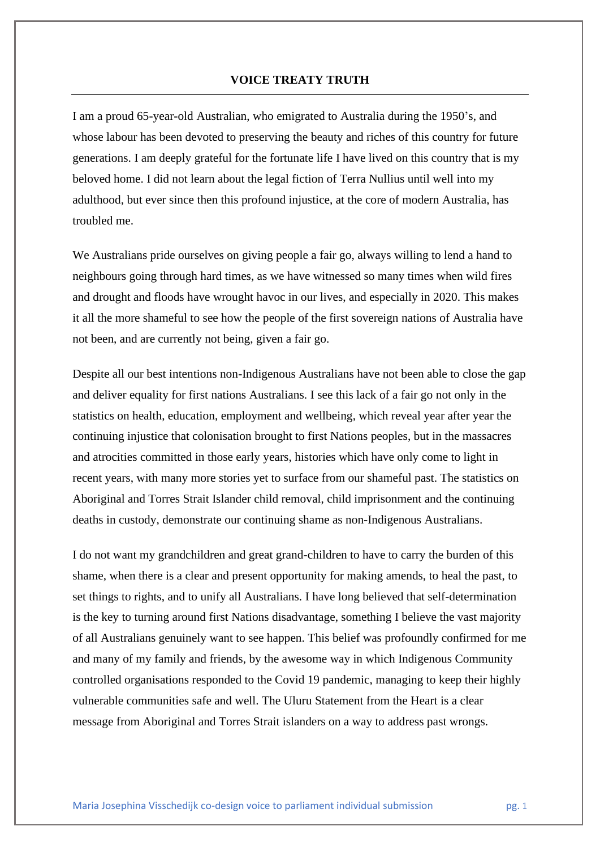## **VOICE TREATY TRUTH**

I am a proud 65-year-old Australian, who emigrated to Australia during the 1950's, and whose labour has been devoted to preserving the beauty and riches of this country for future generations. I am deeply grateful for the fortunate life I have lived on this country that is my beloved home. I did not learn about the legal fiction of Terra Nullius until well into my adulthood, but ever since then this profound injustice, at the core of modern Australia, has troubled me.

We Australians pride ourselves on giving people a fair go, always willing to lend a hand to neighbours going through hard times, as we have witnessed so many times when wild fires and drought and floods have wrought havoc in our lives, and especially in 2020. This makes it all the more shameful to see how the people of the first sovereign nations of Australia have not been, and are currently not being, given a fair go.

Despite all our best intentions non-Indigenous Australians have not been able to close the gap and deliver equality for first nations Australians. I see this lack of a fair go not only in the statistics on health, education, employment and wellbeing, which reveal year after year the continuing injustice that colonisation brought to first Nations peoples, but in the massacres and atrocities committed in those early years, histories which have only come to light in recent years, with many more stories yet to surface from our shameful past. The statistics on Aboriginal and Torres Strait Islander child removal, child imprisonment and the continuing deaths in custody, demonstrate our continuing shame as non-Indigenous Australians.

I do not want my grandchildren and great grand-children to have to carry the burden of this shame, when there is a clear and present opportunity for making amends, to heal the past, to set things to rights, and to unify all Australians. I have long believed that self-determination is the key to turning around first Nations disadvantage, something I believe the vast majority of all Australians genuinely want to see happen. This belief was profoundly confirmed for me and many of my family and friends, by the awesome way in which Indigenous Community controlled organisations responded to the Covid 19 pandemic, managing to keep their highly vulnerable communities safe and well. The Uluru Statement from the Heart is a clear message from Aboriginal and Torres Strait islanders on a way to address past wrongs.